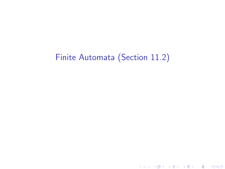# Finite Automata (Section 11.2)

K ロ ▶ ( d ) | K 글 ) | K 글 ) | [ 글 | 10 Q Q |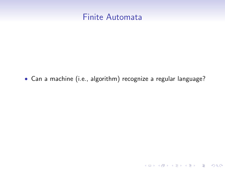

• Can a machine (i.e., algorithm) recognize a regular language?

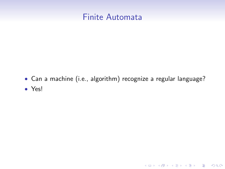

• Can a machine (i.e., algorithm) recognize a regular language? • Yes!

K ロ K K (P) K (E) K (E) X (E) X (P) K (P)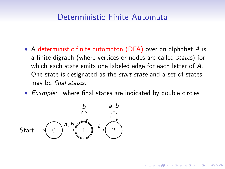## Deterministic Finite Automata

- A deterministic finite automaton (DFA) over an alphabet A is a finite digraph (where vertices or nodes are called states) for which each state emits one labeled edge for each letter of A. One state is designated as the start state and a set of states may be final states.
- Example: where final states are indicated by double circles

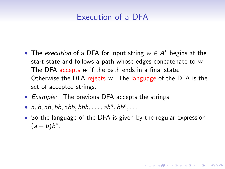# Execution of a DFA

- The execution of a DFA for input string  $w \in A^*$  begins at the start state and follows a path whose edges concatenate to w. The DFA accepts w if the path ends in a final state. Otherwise the DFA rejects w. The language of the DFA is the set of accepted strings.
- Example: The previous DFA accepts the strings
- a, b, ab, bb, abb, bbb,  $\dots$ , ab<sup>n</sup>, bb<sup>n</sup>,  $\dots$
- So the language of the DFA is given by the regular expression  $(a + b)b^*$ .

**KORKAR KERKER EL VOLO**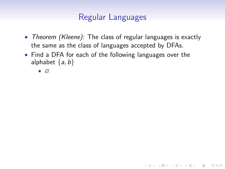## Regular Languages

• Theorem (Kleene): The class of regular languages is exactly the same as the class of languages accepted by DFAs.

**KORKA SERKER ORA** 

• Find a DFA for each of the following languages over the alphabet  $\{a, b\}$ 

• ∅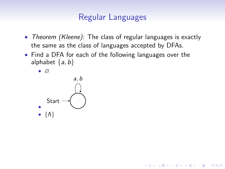## Regular Languages

• Theorem (Kleene): The class of regular languages is exactly the same as the class of languages accepted by DFAs.

**KORK STRAIN A BAR SHOP** 

- Find a DFA for each of the following languages over the alphabet  $\{a, b\}$ 
	- ∅

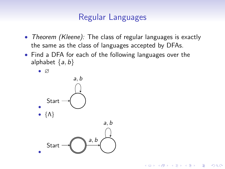## Regular Languages

• Theorem (Kleene): The class of regular languages is exactly the same as the class of languages accepted by DFAs.

**KORK STRAIN A BAR SHOP** 

- Find a DFA for each of the following languages over the alphabet  $\{a, b\}$ 
	- ∅ • **Start** a, b • {Λ} • Start a, b a, b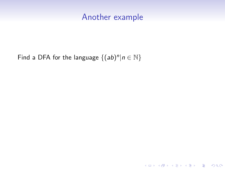#### Another example

K ロ K K (P) K (E) K (E) X (E) X (P) K (P)

Find a DFA for the language  $\{(ab)^n | n \in \mathbb{N}\}\$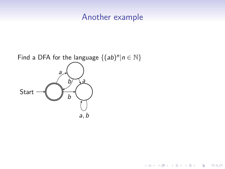#### Another example

K ロ X K 個 X K 결 X K 결 X ( 결 )

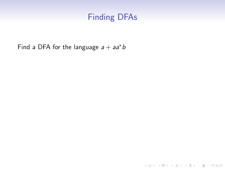# Finding DFAs

K ロ ▶ K @ ▶ K 할 ▶ K 할 ▶ | 할 | ⊙Q @

Find a DFA for the language  $a + aa^*b$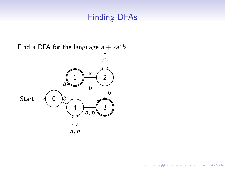# Finding DFAs

イロン イ部ン イ君ン イ君ンシ

重

 $2990$ 

Find a DFA for the language  $a + aa^*b$ 

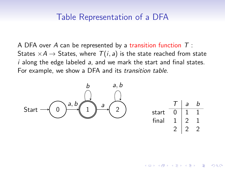#### Table Representation of a DFA

A DFA over A can be represented by a transition function  $T$  : States  $\times A \rightarrow$  States, where  $T(i, a)$  is the state reached from state  $i$  along the edge labeled  $a$ , and we mark the start and final states. For example, we show a DFA and its transition table.



|       | a | h |
|-------|---|---|
| start |   |   |
| final |   |   |
|       |   |   |
|       |   |   |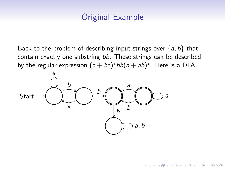# Original Example

Back to the problem of describing input strings over  $\{a, b\}$  that contain exactly one substring bb. These strings can be described by the regular expression  $(a + ba)^*bb(a + ab)^*$ . Here is a DFA:

 $4$  ロ )  $4$   $\overline{r}$  )  $4$   $\overline{z}$  )  $4$   $\overline{z}$  )

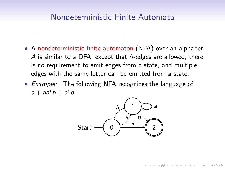#### Nondeterministic Finite Automata

- A nondeterministic finite automaton (NFA) over an alphabet A is similar to a DFA, except that Λ-edges are allowed, there is no requirement to emit edges from a state, and multiple edges with the same letter can be emitted from a state.
- Example: The following NFA recognizes the language of  $a + aa^*b + a^*b$



**KORK ERKER ADE YOUR**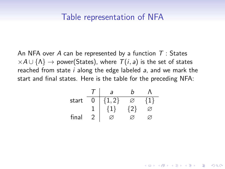#### Table representation of NFA

An NFA over A can be represented by a function  $T:$  States  $\times A \cup \{\Lambda\} \rightarrow$  power(States), where  $\mathcal{T}(i, a)$  is the set of states reached from state i along the edge labeled a, and we mark the start and final states. Here is the table for the preceding NFA:

| start |         |             |             |             |
|-------|---------|-------------|-------------|-------------|
| $T$   | $a$     | $b$         | $\Lambda$   |             |
| 1     | $\{1\}$ | $\{2\}$     | $\emptyset$ |             |
| final | 2       | $\emptyset$ | $\emptyset$ | $\emptyset$ |

**KORK ERKER ADE YOUR**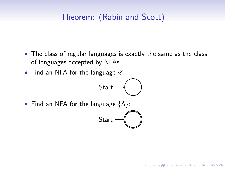# Theorem: (Rabin and Scott)

- The class of regular languages is exactly the same as the class of languages accepted by NFAs.
- Find an NFA for the language ∅:



• Find an NFA for the language  $\{\Lambda\}$ :

$$
\mathsf{Start} \rightarrow \bigcirc
$$

K ロ ▶ K @ ▶ K 할 ▶ K 할 ▶ 이 할 → 9 Q @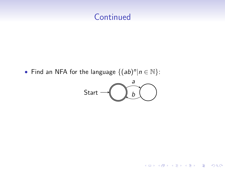## **Continued**

• Find an NFA for the language  $\{(ab)^n | n \in \mathbb{N}\}$ :



K ロ X イロ X K ミ X K ミ X ミ X Y Q Q Q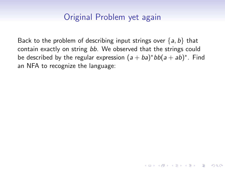## Original Problem yet again

Back to the problem of describing input strings over  $\{a, b\}$  that contain exactly on string bb. We observed that the strings could be described by the regular expression  $(a + ba)^*bb(a + ab)^*$ . Find an NFA to recognize the language:

**KORK ERKER ADE YOUR**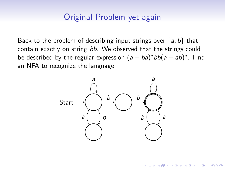### Original Problem yet again

Back to the problem of describing input strings over  $\{a, b\}$  that contain exactly on string bb. We observed that the strings could be described by the regular expression  $(a + ba)^*bb(a + ab)^*$ . Find an NFA to recognize the language:



E LIZER KENNED K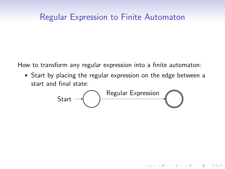#### Regular Expression to Finite Automaton

How to transform any regular expression into a finite automaton:

• Start by placing the regular expression on the edge between a start and final state:



**KORK ERKER ADE YOUR**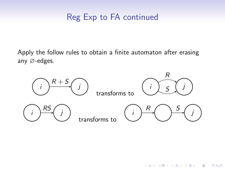# Reg Exp to FA continued

Apply the follow rules to obtain a finite automaton after erasing any ∅-edges.



**KORK STRAIN A BAR SHOP**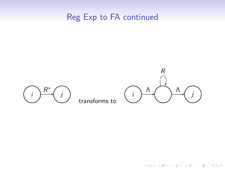# Reg Exp to FA continued



K ロ ▶ K @ ▶ K 할 > K 할 > 1 할 > 1 이익어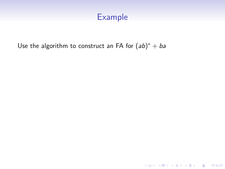#### Example

Use the algorithm to construct an FA for  $(ab)^* + ba$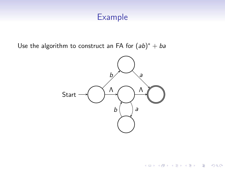#### Example

Use the algorithm to construct an FA for  $(ab)^* + ba$ 



K ロ X K 個 X K 결 X K 결 X ( 결 )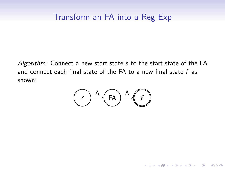## Transform an FA into a Reg Exp

Algorithm: Connect a new start state s to the start state of the FA and connect each final state of the FA to a new final state  $f$  as shown:

$$
\bigcirc \wedge \wedge \bigcirc \wedge \wedge \wedge \bigcirc
$$

K ロ ▶ K @ ▶ K 할 > K 할 > 1 할 > 1 이익어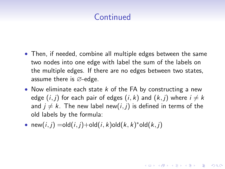# **Continued**

- Then, if needed, combine all multiple edges between the same two nodes into one edge with label the sum of the labels on the multiple edges. If there are no edges between two states, assume there is ∅-edge.
- Now eliminate each state  $k$  of the FA by constructing a new edge  $(i, j)$  for each pair of edges  $(i, k)$  and  $(k, j)$  where  $i \neq k$ and  $j \neq k$ . The new label new(i, j) is defined in terms of the old labels by the formula:

**KORKAR KERKER EL VOLO** 

• new $(i, j) =$ old $(i, j) +$ old $(i, k)$ old $(k, k)$ \*old $(k, j)$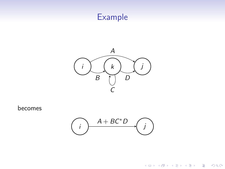# Example



becomes



K ロ X イロ X K ミ X K ミ X ミ X Y Q Q Q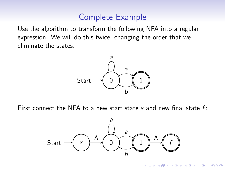### Complete Example

Use the algorithm to transform the following NFA into a regular expression. We will do this twice, changing the order that we eliminate the states.



First connect the NFA to a new start state s and new final state  $f$ :



 $4$  ロ )  $4$   $\overline{r}$  )  $4$   $\overline{z}$  )  $4$   $\overline{z}$  )

 $QQ$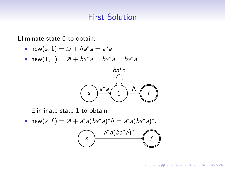#### First Solution

Eliminate state 0 to obtain:

- new $(s, 1) = \varnothing + \Lambda a^* a = a^* a$
- new $(1,1) = \varnothing + ba^*a = ba^*a = ba^*a$



Eliminate state 1 to obtain:

• new(s, f) =  $\emptyset$  + a<sup>\*</sup> a(ba<sup>\*</sup> a)<sup>\*</sup> $\Lambda = a^*$  a(ba<sup>\*</sup> a)<sup>\*</sup>.



**KORK STRAIN A BAR SHOP**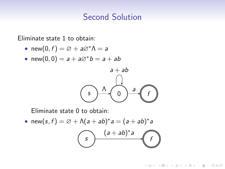### Second Solution

Eliminate state 1 to obtain:

- new $(0, f) = \varnothing + a\varnothing^* \Lambda = a$
- new $(0, 0) = a + a\varnothing^* b = a + ab$



Eliminate state 0 to obtain:

• new $(s, f) = \emptyset + \Lambda(a + ab)^* a = (a + ab)^* a$ 



**KORK STRAIN A BAR SHOP**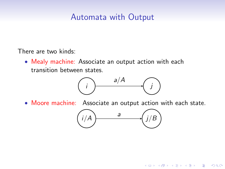# Automata with Output

There are two kinds:

• Mealy machine: Associate an output action with each transition between states.



• Moore machine: Associate an output action with each state.



**KORK ERKER ADE YOUR**